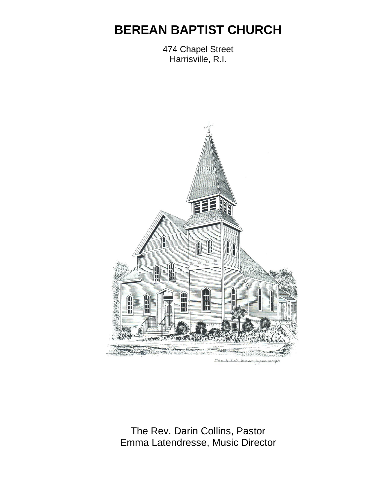# **BEREAN BAPTIST CHURCH**

474 Chapel Street Harrisville, R.I.



The Rev. Darin Collins, Pastor Emma Latendresse, Music Director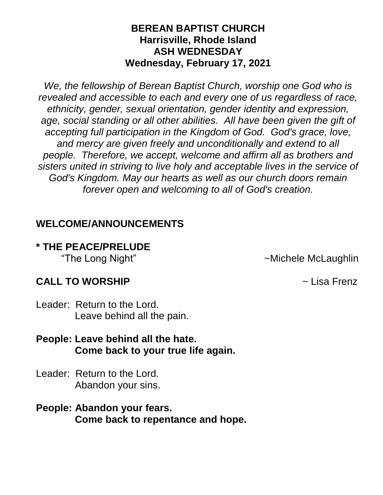#### **BEREAN BAPTIST CHURCH Harrisville, Rhode Island ASH WEDNESDAY Wednesday, February 17, 2021**

*We, the fellowship of Berean Baptist Church, worship one God who is revealed and accessible to each and every one of us regardless of race, ethnicity, gender, sexual orientation, gender identity and expression, age, social standing or all other abilities. All have been given the gift of accepting full participation in the Kingdom of God. God's grace, love, and mercy are given freely and unconditionally and extend to all people. Therefore, we accept, welcome and affirm all as brothers and sisters united in striving to live holy and acceptable lives in the service of God's Kingdom. May our hearts as well as our church doors remain forever open and welcoming to all of God's creation.*

#### **WELCOME/ANNOUNCEMENTS**

# **\* THE PEACE/PRELUDE**

"The Long Night"  $\sim$ Michele McLaughlin

#### **CALL TO WORSHIP** ~ Lisa Frenz

Leader: Return to the Lord. Leave behind all the pain.

#### **People: Leave behind all the hate. Come back to your true life again.**

- Leader: Return to the Lord. Abandon your sins.
- **People: Abandon your fears. Come back to repentance and hope.**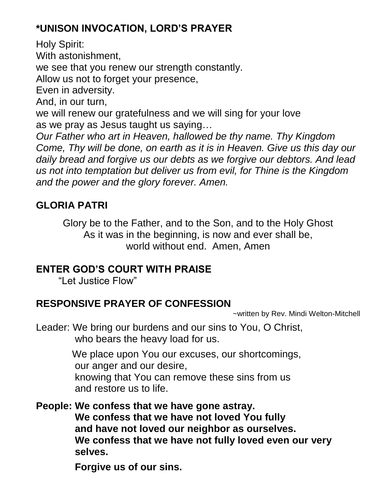# **\*UNISON INVOCATION, LORD'S PRAYER**

Holy Spirit: With astonishment, we see that you renew our strength constantly. Allow us not to forget your presence, Even in adversity. And, in our turn, we will renew our gratefulness and we will sing for your love as we pray as Jesus taught us saying… *Our Father who art in Heaven, hallowed be thy name. Thy Kingdom Come, Thy will be done, on earth as it is in Heaven. Give us this day our daily bread and forgive us our debts as we forgive our debtors. And lead us not into temptation but deliver us from evil, for Thine is the Kingdom and the power and the glory forever. Amen.*

# **GLORIA PATRI**

Glory be to the Father, and to the Son, and to the Holy Ghost As it was in the beginning, is now and ever shall be, world without end. Amen, Amen

## **ENTER GOD'S COURT WITH PRAISE**

"Let Justice Flow"

# **RESPONSIVE PRAYER OF CONFESSION**

~written by Rev. Mindi Welton-Mitchell

Leader: We bring our burdens and our sins to You, O Christ, who bears the heavy load for us.

> We place upon You our excuses, our shortcomings, our anger and our desire, knowing that You can remove these sins from us and restore us to life.

**People: We confess that we have gone astray. We confess that we have not loved You fully and have not loved our neighbor as ourselves. We confess that we have not fully loved even our very selves.**

 **Forgive us of our sins.**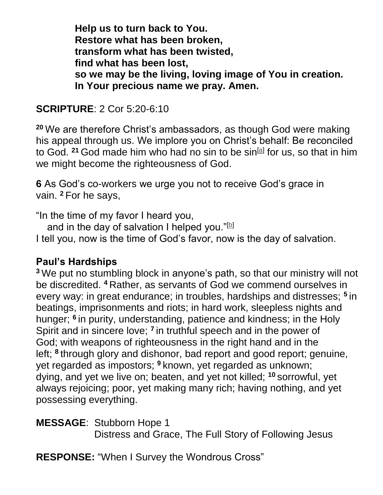**Help us to turn back to You. Restore what has been broken, transform what has been twisted, find what has been lost, so we may be the living, loving image of You in creation. In Your precious name we pray. Amen.** 

### **SCRIPTURE**: 2 Cor 5:20-6:10

**<sup>20</sup>** We are therefore Christ's ambassadors, as though God were making his appeal through us. We implore you on Christ's behalf: Be reconciled to God. <sup>21</sup> God made him who had no sin to be sin<sup>[\[a\]](https://www.biblegateway.com/passage/?search=2+Cor+5%3A20-6%3A10+&version=NIV#fen-NIV-28899a)</sup> for us, so that in him we might become the righteousness of God.

**6** As God's co-workers we urge you not to receive God's grace in vain. **<sup>2</sup>** For he says,

"In the time of my favor I heard you,

and in the day of salvation I helped you." $[$ b]

I tell you, now is the time of God's favor, now is the day of salvation.

#### **Paul's Hardships**

**<sup>3</sup>** We put no stumbling block in anyone's path, so that our ministry will not be discredited. **<sup>4</sup>** Rather, as servants of God we commend ourselves in every way: in great endurance; in troubles, hardships and distresses; **<sup>5</sup>** in beatings, imprisonments and riots; in hard work, sleepless nights and hunger; **<sup>6</sup>** in purity, understanding, patience and kindness; in the Holy Spirit and in sincere love; <sup>7</sup> in truthful speech and in the power of God; with weapons of righteousness in the right hand and in the left; **<sup>8</sup>** through glory and dishonor, bad report and good report; genuine, yet regarded as impostors; **<sup>9</sup>** known, yet regarded as unknown; dying, and yet we live on; beaten, and yet not killed; **<sup>10</sup>** sorrowful, yet always rejoicing; poor, yet making many rich; having nothing, and yet possessing everything.

**MESSAGE**: Stubborn Hope 1 Distress and Grace, The Full Story of Following Jesus

**RESPONSE:** "When I Survey the Wondrous Cross"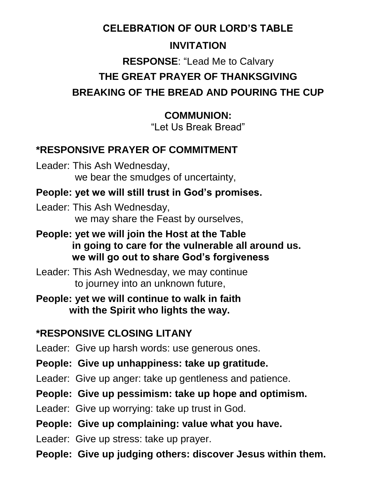# **CELEBRATION OF OUR LORD'S TABLE**

# **INVITATION**

# **RESPONSE**: "Lead Me to Calvary **THE GREAT PRAYER OF THANKSGIVING BREAKING OF THE BREAD AND POURING THE CUP**

## **COMMUNION:**

"Let Us Break Bread"

# **\*RESPONSIVE PRAYER OF COMMITMENT**

Leader: This Ash Wednesday, we bear the smudges of uncertainty,

## **People: yet we will still trust in God's promises.**

Leader: This Ash Wednesday, we may share the Feast by ourselves,

- **People: yet we will join the Host at the Table in going to care for the vulnerable all around us. we will go out to share God's forgiveness**
- Leader: This Ash Wednesday, we may continue to journey into an unknown future,

**People: yet we will continue to walk in faith with the Spirit who lights the way.**

# **\*RESPONSIVE CLOSING LITANY**

Leader: Give up harsh words: use generous ones.

**People: Give up unhappiness: take up gratitude.**

Leader: Give up anger: take up gentleness and patience.

## **People: Give up pessimism: take up hope and optimism.**

Leader: Give up worrying: take up trust in God.

## **People: Give up complaining: value what you have.**

Leader: Give up stress: take up prayer.

**People: Give up judging others: discover Jesus within them.**